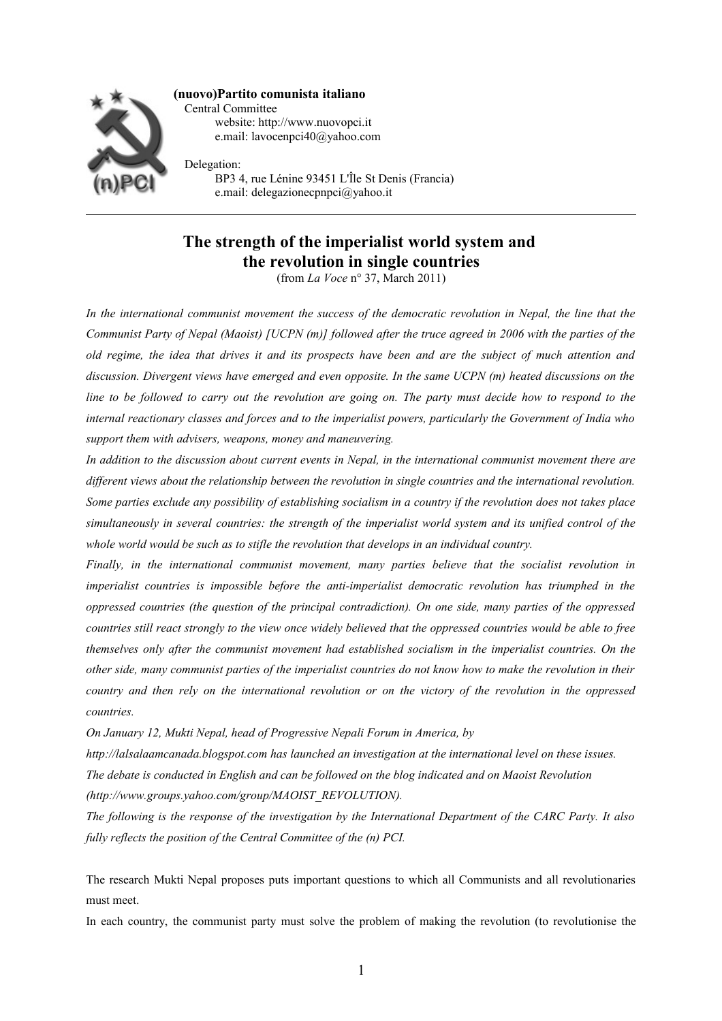

**(nuovo)Partito comunista italiano** Central Committee website: http://www.nuovopci.it e.mail: lavocenpci40@yahoo.com

Delegation: BP3 4, rue Lénine 93451 L'Île St Denis (Francia) e.mail: delegazionecpnpci@yahoo.it

# **The strength of the imperialist world system and the revolution in single countries**

(from *La Voce* n° 37, March 2011)

*In the international communist movement the success of the democratic revolution in Nepal, the line that the Communist Party of Nepal (Maoist) [UCPN (m)] followed after the truce agreed in 2006 with the parties of the old regime, the idea that drives it and its prospects have been and are the subject of much attention and discussion. Divergent views have emerged and even opposite. In the same UCPN (m) heated discussions on the line to be followed to carry out the revolution are going on. The party must decide how to respond to the internal reactionary classes and forces and to the imperialist powers, particularly the Government of India who support them with advisers, weapons, money and maneuvering.* 

*In addition to the discussion about current events in Nepal, in the international communist movement there are different views about the relationship between the revolution in single countries and the international revolution. Some parties exclude any possibility of establishing socialism in a country if the revolution does not takes place simultaneously in several countries: the strength of the imperialist world system and its unified control of the whole world would be such as to stifle the revolution that develops in an individual country.*

*Finally, in the international communist movement, many parties believe that the socialist revolution in imperialist countries is impossible before the anti-imperialist democratic revolution has triumphed in the oppressed countries (the question of the principal contradiction). On one side, many parties of the oppressed countries still react strongly to the view once widely believed that the oppressed countries would be able to free themselves only after the communist movement had established socialism in the imperialist countries. On the other side, many communist parties of the imperialist countries do not know how to make the revolution in their country and then rely on the international revolution or on the victory of the revolution in the oppressed countries.*

*On January 12, Mukti Nepal, head of Progressive Nepali Forum in America, by*

*http://lalsalaamcanada.blogspot.com has launched an investigation at the international level on these issues.*

*The debate is conducted in English and can be followed on the blog indicated and on Maoist Revolution* 

*(http://www.groups.yahoo.com/group/MAOIST\_REVOLUTION).* 

*The following is the response of the investigation by the International Department of the CARC Party. It also fully reflects the position of the Central Committee of the (n) PCI.* 

The research Mukti Nepal proposes puts important questions to which all Communists and all revolutionaries must meet.

In each country, the communist party must solve the problem of making the revolution (to revolutionise the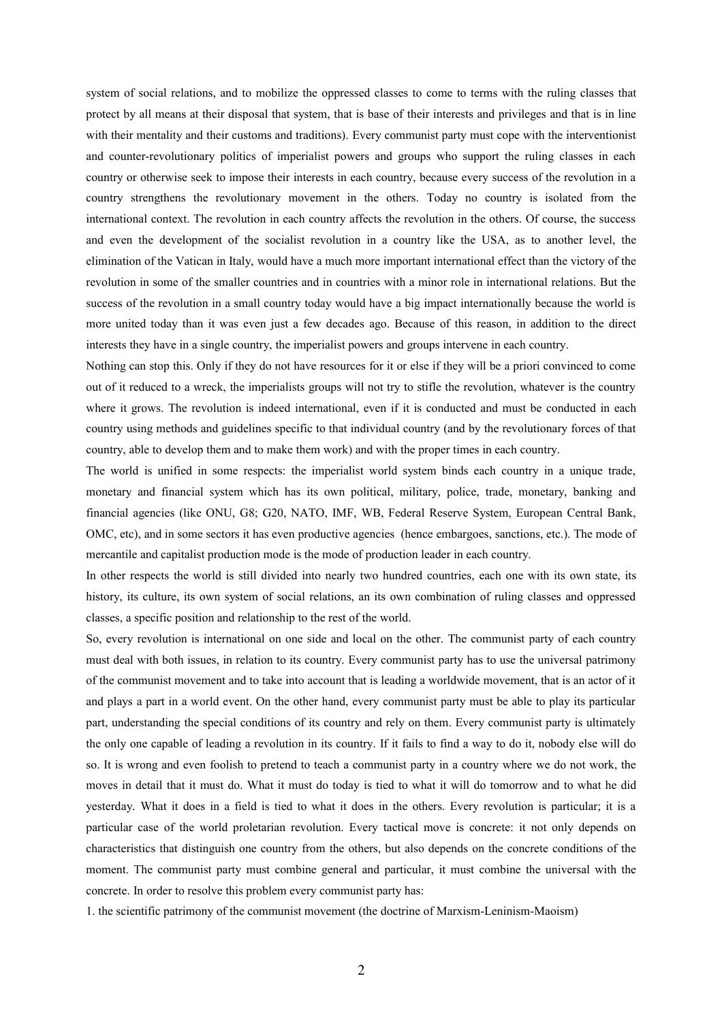system of social relations, and to mobilize the oppressed classes to come to terms with the ruling classes that protect by all means at their disposal that system, that is base of their interests and privileges and that is in line with their mentality and their customs and traditions). Every communist party must cope with the interventionist and counter-revolutionary politics of imperialist powers and groups who support the ruling classes in each country or otherwise seek to impose their interests in each country, because every success of the revolution in a country strengthens the revolutionary movement in the others. Today no country is isolated from the international context. The revolution in each country affects the revolution in the others. Of course, the success and even the development of the socialist revolution in a country like the USA, as to another level, the elimination of the Vatican in Italy, would have a much more important international effect than the victory of the revolution in some of the smaller countries and in countries with a minor role in international relations. But the success of the revolution in a small country today would have a big impact internationally because the world is more united today than it was even just a few decades ago. Because of this reason, in addition to the direct interests they have in a single country, the imperialist powers and groups intervene in each country.

Nothing can stop this. Only if they do not have resources for it or else if they will be a priori convinced to come out of it reduced to a wreck, the imperialists groups will not try to stifle the revolution, whatever is the country where it grows. The revolution is indeed international, even if it is conducted and must be conducted in each country using methods and guidelines specific to that individual country (and by the revolutionary forces of that country, able to develop them and to make them work) and with the proper times in each country.

The world is unified in some respects: the imperialist world system binds each country in a unique trade, monetary and financial system which has its own political, military, police, trade, monetary, banking and financial agencies (like ONU, G8; G20, NATO, IMF, WB, Federal Reserve System, European Central Bank, OMC, etc), and in some sectors it has even productive agencies (hence embargoes, sanctions, etc.). The mode of mercantile and capitalist production mode is the mode of production leader in each country.

In other respects the world is still divided into nearly two hundred countries, each one with its own state, its history, its culture, its own system of social relations, an its own combination of ruling classes and oppressed classes, a specific position and relationship to the rest of the world.

So, every revolution is international on one side and local on the other. The communist party of each country must deal with both issues, in relation to its country. Every communist party has to use the universal patrimony of the communist movement and to take into account that is leading a worldwide movement, that is an actor of it and plays a part in a world event. On the other hand, every communist party must be able to play its particular part, understanding the special conditions of its country and rely on them. Every communist party is ultimately the only one capable of leading a revolution in its country. If it fails to find a way to do it, nobody else will do so. It is wrong and even foolish to pretend to teach a communist party in a country where we do not work, the moves in detail that it must do. What it must do today is tied to what it will do tomorrow and to what he did yesterday. What it does in a field is tied to what it does in the others. Every revolution is particular; it is a particular case of the world proletarian revolution. Every tactical move is concrete: it not only depends on characteristics that distinguish one country from the others, but also depends on the concrete conditions of the moment. The communist party must combine general and particular, it must combine the universal with the concrete. In order to resolve this problem every communist party has:

1. the scientific patrimony of the communist movement (the doctrine of Marxism-Leninism-Maoism)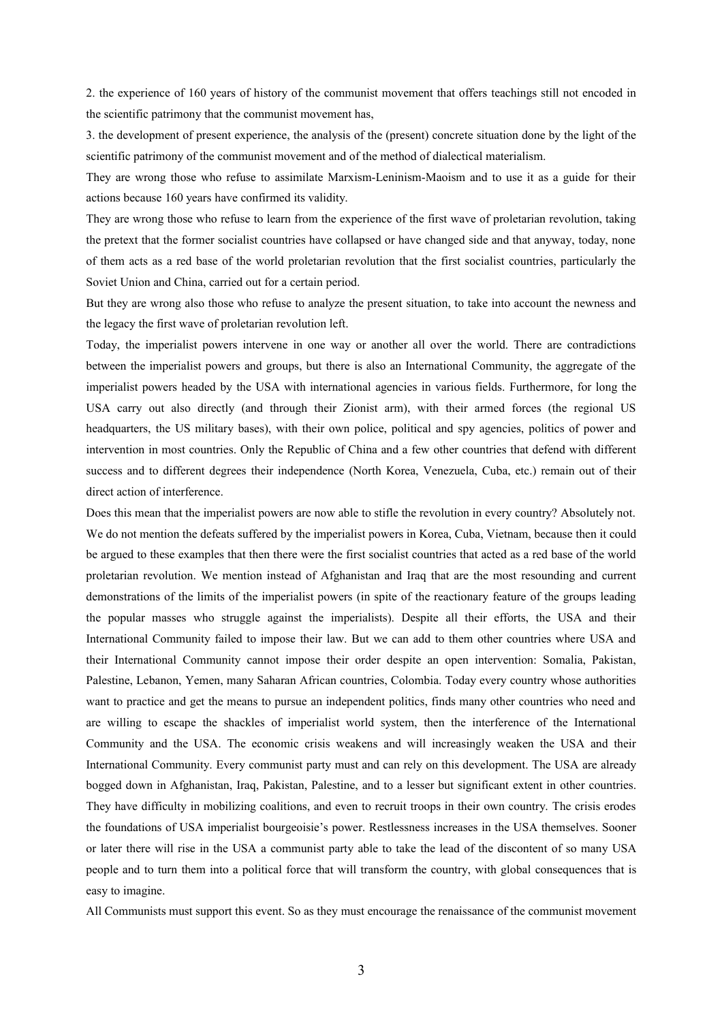2. the experience of 160 years of history of the communist movement that offers teachings still not encoded in the scientific patrimony that the communist movement has,

3. the development of present experience, the analysis of the (present) concrete situation done by the light of the scientific patrimony of the communist movement and of the method of dialectical materialism.

They are wrong those who refuse to assimilate Marxism-Leninism-Maoism and to use it as a guide for their actions because 160 years have confirmed its validity.

They are wrong those who refuse to learn from the experience of the first wave of proletarian revolution, taking the pretext that the former socialist countries have collapsed or have changed side and that anyway, today, none of them acts as a red base of the world proletarian revolution that the first socialist countries, particularly the Soviet Union and China, carried out for a certain period.

But they are wrong also those who refuse to analyze the present situation, to take into account the newness and the legacy the first wave of proletarian revolution left.

Today, the imperialist powers intervene in one way or another all over the world. There are contradictions between the imperialist powers and groups, but there is also an International Community, the aggregate of the imperialist powers headed by the USA with international agencies in various fields. Furthermore, for long the USA carry out also directly (and through their Zionist arm), with their armed forces (the regional US headquarters, the US military bases), with their own police, political and spy agencies, politics of power and intervention in most countries. Only the Republic of China and a few other countries that defend with different success and to different degrees their independence (North Korea, Venezuela, Cuba, etc.) remain out of their direct action of interference.

Does this mean that the imperialist powers are now able to stifle the revolution in every country? Absolutely not. We do not mention the defeats suffered by the imperialist powers in Korea, Cuba, Vietnam, because then it could be argued to these examples that then there were the first socialist countries that acted as a red base of the world proletarian revolution. We mention instead of Afghanistan and Iraq that are the most resounding and current demonstrations of the limits of the imperialist powers (in spite of the reactionary feature of the groups leading the popular masses who struggle against the imperialists). Despite all their efforts, the USA and their International Community failed to impose their law. But we can add to them other countries where USA and their International Community cannot impose their order despite an open intervention: Somalia, Pakistan, Palestine, Lebanon, Yemen, many Saharan African countries, Colombia. Today every country whose authorities want to practice and get the means to pursue an independent politics, finds many other countries who need and are willing to escape the shackles of imperialist world system, then the interference of the International Community and the USA. The economic crisis weakens and will increasingly weaken the USA and their International Community. Every communist party must and can rely on this development. The USA are already bogged down in Afghanistan, Iraq, Pakistan, Palestine, and to a lesser but significant extent in other countries. They have difficulty in mobilizing coalitions, and even to recruit troops in their own country. The crisis erodes the foundations of USA imperialist bourgeoisie's power. Restlessness increases in the USA themselves. Sooner or later there will rise in the USA a communist party able to take the lead of the discontent of so many USA people and to turn them into a political force that will transform the country, with global consequences that is easy to imagine.

All Communists must support this event. So as they must encourage the renaissance of the communist movement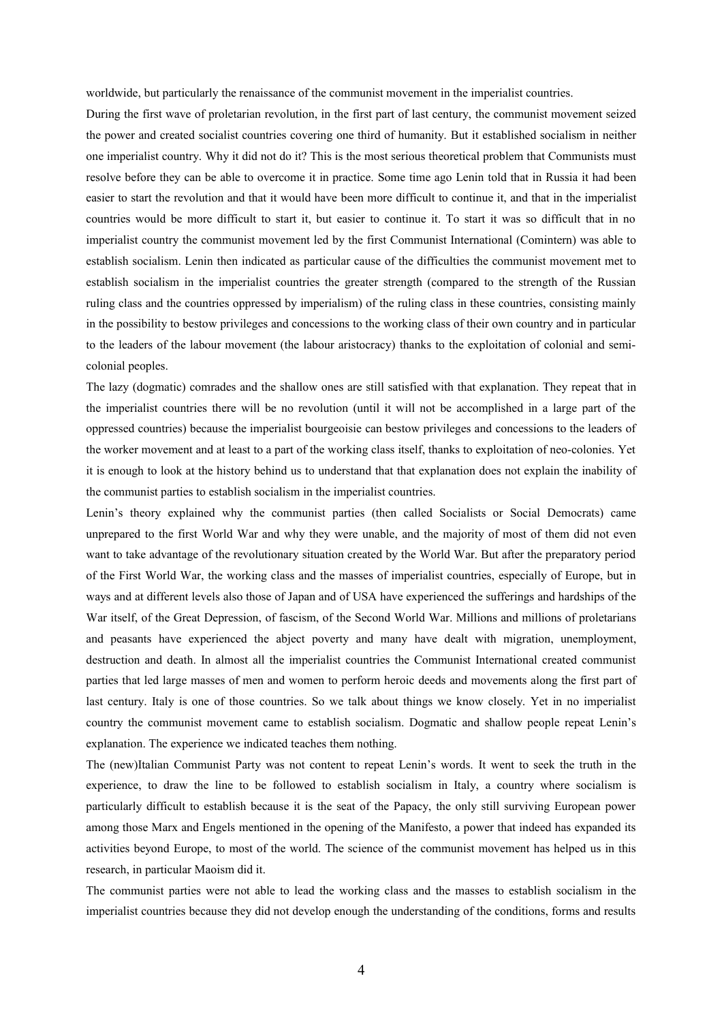worldwide, but particularly the renaissance of the communist movement in the imperialist countries.

During the first wave of proletarian revolution, in the first part of last century, the communist movement seized the power and created socialist countries covering one third of humanity. But it established socialism in neither one imperialist country. Why it did not do it? This is the most serious theoretical problem that Communists must resolve before they can be able to overcome it in practice. Some time ago Lenin told that in Russia it had been easier to start the revolution and that it would have been more difficult to continue it, and that in the imperialist countries would be more difficult to start it, but easier to continue it. To start it was so difficult that in no imperialist country the communist movement led by the first Communist International (Comintern) was able to establish socialism. Lenin then indicated as particular cause of the difficulties the communist movement met to establish socialism in the imperialist countries the greater strength (compared to the strength of the Russian ruling class and the countries oppressed by imperialism) of the ruling class in these countries, consisting mainly in the possibility to bestow privileges and concessions to the working class of their own country and in particular to the leaders of the labour movement (the labour aristocracy) thanks to the exploitation of colonial and semicolonial peoples.

The lazy (dogmatic) comrades and the shallow ones are still satisfied with that explanation. They repeat that in the imperialist countries there will be no revolution (until it will not be accomplished in a large part of the oppressed countries) because the imperialist bourgeoisie can bestow privileges and concessions to the leaders of the worker movement and at least to a part of the working class itself, thanks to exploitation of neo-colonies. Yet it is enough to look at the history behind us to understand that that explanation does not explain the inability of the communist parties to establish socialism in the imperialist countries.

Lenin's theory explained why the communist parties (then called Socialists or Social Democrats) came unprepared to the first World War and why they were unable, and the majority of most of them did not even want to take advantage of the revolutionary situation created by the World War. But after the preparatory period of the First World War, the working class and the masses of imperialist countries, especially of Europe, but in ways and at different levels also those of Japan and of USA have experienced the sufferings and hardships of the War itself, of the Great Depression, of fascism, of the Second World War. Millions and millions of proletarians and peasants have experienced the abject poverty and many have dealt with migration, unemployment, destruction and death. In almost all the imperialist countries the Communist International created communist parties that led large masses of men and women to perform heroic deeds and movements along the first part of last century. Italy is one of those countries. So we talk about things we know closely. Yet in no imperialist country the communist movement came to establish socialism. Dogmatic and shallow people repeat Lenin's explanation. The experience we indicated teaches them nothing.

The (new)Italian Communist Party was not content to repeat Lenin's words. It went to seek the truth in the experience, to draw the line to be followed to establish socialism in Italy, a country where socialism is particularly difficult to establish because it is the seat of the Papacy, the only still surviving European power among those Marx and Engels mentioned in the opening of the Manifesto, a power that indeed has expanded its activities beyond Europe, to most of the world. The science of the communist movement has helped us in this research, in particular Maoism did it.

The communist parties were not able to lead the working class and the masses to establish socialism in the imperialist countries because they did not develop enough the understanding of the conditions, forms and results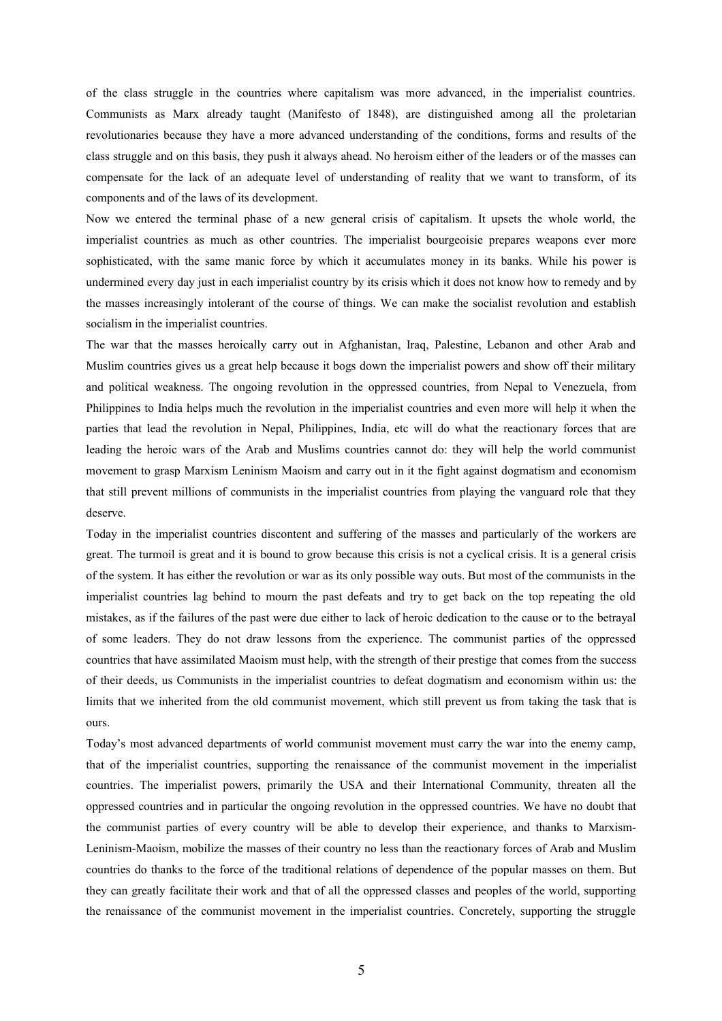of the class struggle in the countries where capitalism was more advanced, in the imperialist countries. Communists as Marx already taught (Manifesto of 1848), are distinguished among all the proletarian revolutionaries because they have a more advanced understanding of the conditions, forms and results of the class struggle and on this basis, they push it always ahead. No heroism either of the leaders or of the masses can compensate for the lack of an adequate level of understanding of reality that we want to transform, of its components and of the laws of its development.

Now we entered the terminal phase of a new general crisis of capitalism. It upsets the whole world, the imperialist countries as much as other countries. The imperialist bourgeoisie prepares weapons ever more sophisticated, with the same manic force by which it accumulates money in its banks. While his power is undermined every day just in each imperialist country by its crisis which it does not know how to remedy and by the masses increasingly intolerant of the course of things. We can make the socialist revolution and establish socialism in the imperialist countries.

The war that the masses heroically carry out in Afghanistan, Iraq, Palestine, Lebanon and other Arab and Muslim countries gives us a great help because it bogs down the imperialist powers and show off their military and political weakness. The ongoing revolution in the oppressed countries, from Nepal to Venezuela, from Philippines to India helps much the revolution in the imperialist countries and even more will help it when the parties that lead the revolution in Nepal, Philippines, India, etc will do what the reactionary forces that are leading the heroic wars of the Arab and Muslims countries cannot do: they will help the world communist movement to grasp Marxism Leninism Maoism and carry out in it the fight against dogmatism and economism that still prevent millions of communists in the imperialist countries from playing the vanguard role that they deserve.

Today in the imperialist countries discontent and suffering of the masses and particularly of the workers are great. The turmoil is great and it is bound to grow because this crisis is not a cyclical crisis. It is a general crisis of the system. It has either the revolution or war as its only possible way outs. But most of the communists in the imperialist countries lag behind to mourn the past defeats and try to get back on the top repeating the old mistakes, as if the failures of the past were due either to lack of heroic dedication to the cause or to the betrayal of some leaders. They do not draw lessons from the experience. The communist parties of the oppressed countries that have assimilated Maoism must help, with the strength of their prestige that comes from the success of their deeds, us Communists in the imperialist countries to defeat dogmatism and economism within us: the limits that we inherited from the old communist movement, which still prevent us from taking the task that is ours.

Today's most advanced departments of world communist movement must carry the war into the enemy camp, that of the imperialist countries, supporting the renaissance of the communist movement in the imperialist countries. The imperialist powers, primarily the USA and their International Community, threaten all the oppressed countries and in particular the ongoing revolution in the oppressed countries. We have no doubt that the communist parties of every country will be able to develop their experience, and thanks to Marxism-Leninism-Maoism, mobilize the masses of their country no less than the reactionary forces of Arab and Muslim countries do thanks to the force of the traditional relations of dependence of the popular masses on them. But they can greatly facilitate their work and that of all the oppressed classes and peoples of the world, supporting the renaissance of the communist movement in the imperialist countries. Concretely, supporting the struggle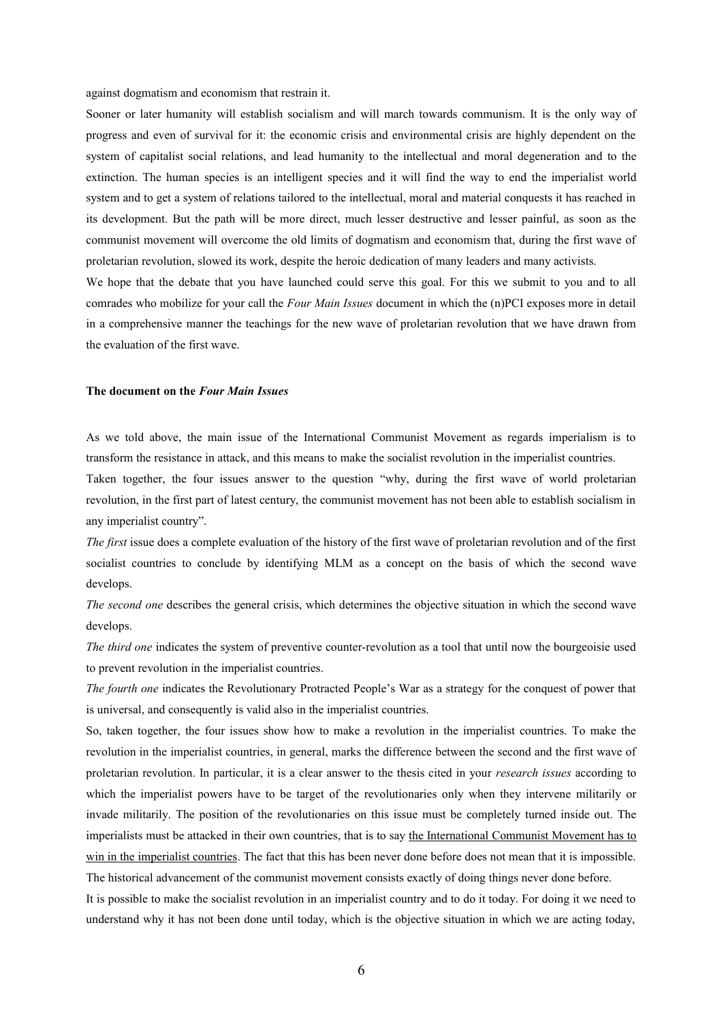against dogmatism and economism that restrain it.

Sooner or later humanity will establish socialism and will march towards communism. It is the only way of progress and even of survival for it: the economic crisis and environmental crisis are highly dependent on the system of capitalist social relations, and lead humanity to the intellectual and moral degeneration and to the extinction. The human species is an intelligent species and it will find the way to end the imperialist world system and to get a system of relations tailored to the intellectual, moral and material conquests it has reached in its development. But the path will be more direct, much lesser destructive and lesser painful, as soon as the communist movement will overcome the old limits of dogmatism and economism that, during the first wave of proletarian revolution, slowed its work, despite the heroic dedication of many leaders and many activists.

We hope that the debate that you have launched could serve this goal. For this we submit to you and to all comrades who mobilize for your call the *Four Main Issues* document in which the (n)PCI exposes more in detail in a comprehensive manner the teachings for the new wave of proletarian revolution that we have drawn from the evaluation of the first wave.

# **The document on the** *Four Main Issues*

As we told above, the main issue of the International Communist Movement as regards imperialism is to transform the resistance in attack, and this means to make the socialist revolution in the imperialist countries.

Taken together, the four issues answer to the question "why, during the first wave of world proletarian revolution, in the first part of latest century, the communist movement has not been able to establish socialism in any imperialist country".

*The first* issue does a complete evaluation of the history of the first wave of proletarian revolution and of the first socialist countries to conclude by identifying MLM as a concept on the basis of which the second wave develops.

*The second one* describes the general crisis, which determines the objective situation in which the second wave develops.

*The third one* indicates the system of preventive counter-revolution as a tool that until now the bourgeoisie used to prevent revolution in the imperialist countries.

*The fourth one* indicates the Revolutionary Protracted People's War as a strategy for the conquest of power that is universal, and consequently is valid also in the imperialist countries.

So, taken together, the four issues show how to make a revolution in the imperialist countries. To make the revolution in the imperialist countries, in general, marks the difference between the second and the first wave of proletarian revolution. In particular, it is a clear answer to the thesis cited in your *research issues* according to which the imperialist powers have to be target of the revolutionaries only when they intervene militarily or invade militarily. The position of the revolutionaries on this issue must be completely turned inside out. The imperialists must be attacked in their own countries, that is to say the International Communist Movement has to win in the imperialist countries. The fact that this has been never done before does not mean that it is impossible. The historical advancement of the communist movement consists exactly of doing things never done before.

It is possible to make the socialist revolution in an imperialist country and to do it today. For doing it we need to understand why it has not been done until today, which is the objective situation in which we are acting today,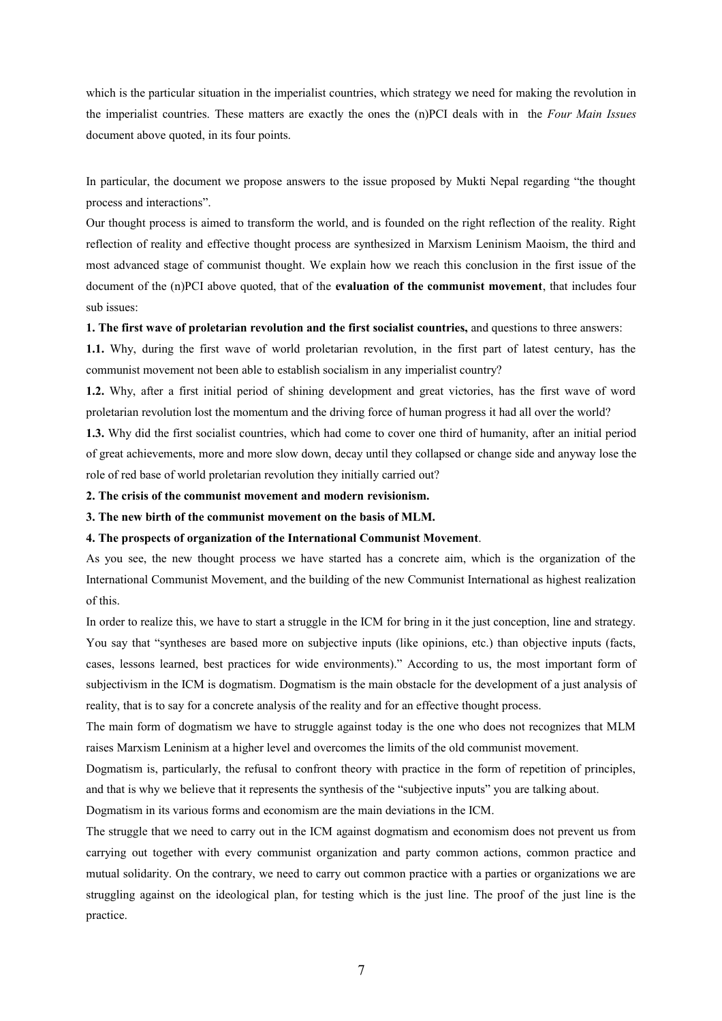which is the particular situation in the imperialist countries, which strategy we need for making the revolution in the imperialist countries. These matters are exactly the ones the (n)PCI deals with in the *Four Main Issues* document above quoted, in its four points.

In particular, the document we propose answers to the issue proposed by Mukti Nepal regarding "the thought process and interactions".

Our thought process is aimed to transform the world, and is founded on the right reflection of the reality. Right reflection of reality and effective thought process are synthesized in Marxism Leninism Maoism, the third and most advanced stage of communist thought. We explain how we reach this conclusion in the first issue of the document of the (n)PCI above quoted, that of the **evaluation of the communist movement**, that includes four sub issues:

# **1. The first wave of proletarian revolution and the first socialist countries,** and questions to three answers:

**1.1.** Why, during the first wave of world proletarian revolution, in the first part of latest century, has the communist movement not been able to establish socialism in any imperialist country?

**1.2.** Why, after a first initial period of shining development and great victories, has the first wave of word proletarian revolution lost the momentum and the driving force of human progress it had all over the world?

**1.3.** Why did the first socialist countries, which had come to cover one third of humanity, after an initial period of great achievements, more and more slow down, decay until they collapsed or change side and anyway lose the role of red base of world proletarian revolution they initially carried out?

## **2. The crisis of the communist movement and modern revisionism.**

#### **3. The new birth of the communist movement on the basis of MLM.**

# **4. The prospects of organization of the International Communist Movement**.

As you see, the new thought process we have started has a concrete aim, which is the organization of the International Communist Movement, and the building of the new Communist International as highest realization of this.

In order to realize this, we have to start a struggle in the ICM for bring in it the just conception, line and strategy. You say that "syntheses are based more on subjective inputs (like opinions, etc.) than objective inputs (facts, cases, lessons learned, best practices for wide environments)." According to us, the most important form of subjectivism in the ICM is dogmatism. Dogmatism is the main obstacle for the development of a just analysis of reality, that is to say for a concrete analysis of the reality and for an effective thought process.

The main form of dogmatism we have to struggle against today is the one who does not recognizes that MLM raises Marxism Leninism at a higher level and overcomes the limits of the old communist movement.

Dogmatism is, particularly, the refusal to confront theory with practice in the form of repetition of principles, and that is why we believe that it represents the synthesis of the "subjective inputs" you are talking about.

Dogmatism in its various forms and economism are the main deviations in the ICM.

The struggle that we need to carry out in the ICM against dogmatism and economism does not prevent us from carrying out together with every communist organization and party common actions, common practice and mutual solidarity. On the contrary, we need to carry out common practice with a parties or organizations we are struggling against on the ideological plan, for testing which is the just line. The proof of the just line is the practice.